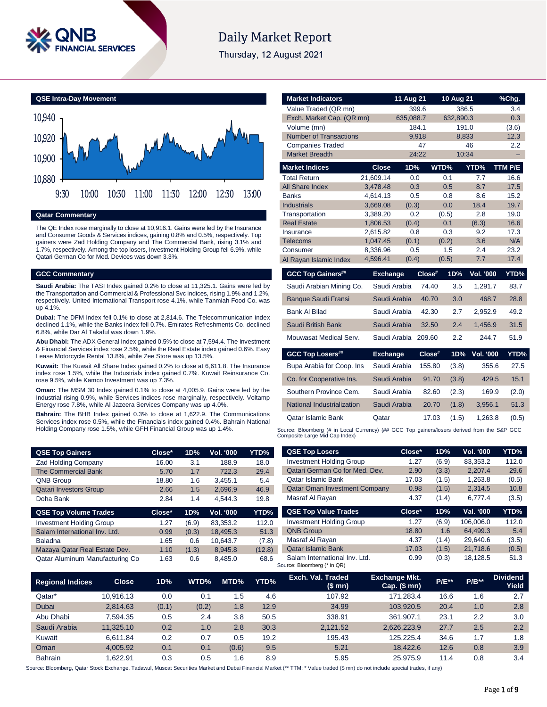

# **Daily Market Report**

Thursday, 12 August 2021

**QSE Intra-Day Movement**



# **Qatar Commentary**

The QE Index rose marginally to close at 10,916.1. Gains were led by the Insurance and Consumer Goods & Services indices, gaining 0.8% and 0.5%, respectively. Top gainers were Zad Holding Company and The Commercial Bank, rising 3.1% and 1.7%, respectively. Among the top losers, Investment Holding Group fell 6.9%, while Qatari German Co for Med. Devices was down 3.3%.

#### **GCC Commentary**

**Saudi Arabia:** The TASI Index gained 0.2% to close at 11,325.1. Gains were led by the Transportation and Commercial & Professional Svc indices, rising 1.9% and 1.2%, respectively. United International Transport rose 4.1%, while Tanmiah Food Co. was up 4.1%.

**Dubai:** The DFM Index fell 0.1% to close at 2,814.6. The Telecommunication index declined 1.1%, while the Banks index fell 0.7%. Emirates Refreshments Co. declined 6.8%, while Dar Al Takaful was down 1.9%.

**Abu Dhabi:** The ADX General Index gained 0.5% to close at 7,594.4. The Investment & Financial Services index rose 2.5%, while the Real Estate index gained 0.6%. Easy Lease Motorcycle Rental 13.8%, while Zee Store was up 13.5%.

**Kuwait:** The Kuwait All Share Index gained 0.2% to close at 6,611.8. The Insurance index rose 1.5%, while the Industrials index gained 0.7%. Kuwait Reinsurance Co. rose 9.5%, while Kamco Investment was up 7.3%.

**Oman:** The MSM 30 Index gained 0.1% to close at 4,005.9. Gains were led by the Industrial rising 0.9%, while Services indices rose marginally, respectively. Voltamp Energy rose 7.8%, while Al Jazeera Services Company was up 4.0%.

**Bahrain:** The BHB Index gained 0.3% to close at 1,622.9. The Communications Services index rose 0.5%, while the Financials index gained 0.4%. Bahrain National Holding Company rose 1.5%, while GFH Financial Group was up 1.4%.

| <b>QSE Top Gainers</b>          | Close* | 1D%   | Vol. '000 | YTD%  |
|---------------------------------|--------|-------|-----------|-------|
| <b>Zad Holding Company</b>      | 16.00  | 3.1   | 188.9     | 18.0  |
| <b>The Commercial Bank</b>      | 5.70   | 1.7   | 722.3     | 29.4  |
| <b>QNB Group</b>                | 18.80  | 1.6   | 3,455.1   | 5.4   |
| <b>Qatari Investors Group</b>   | 2.66   | 1.5   | 2.696.9   | 46.9  |
| Doha Bank                       | 2.84   | 1.4   | 4.544.3   | 19.8  |
| <b>QSE Top Volume Trades</b>    | Close* | 1D%   | Vol. '000 | YTD%  |
| <b>Investment Holding Group</b> | 1.27   | (6.9) | 83,353.2  | 112.0 |
| Salam International Inv. Ltd.   | 0.99   | (0.3) | 18.495.3  | 51.3  |

Baladna 1.65 0.6 10,643.7 (7.8) Mazaya Qatar Real Estate Dev. 1.10 (1.3) 8,945.8 (12.8) Qatar Aluminum Manufacturing Co 1.63 0.6 8,485.0 68.6

| Value Traded (QR mn)          |                      | 399.6        |              | 386.5                   | 3.4         |
|-------------------------------|----------------------|--------------|--------------|-------------------------|-------------|
| Exch. Market Cap. (QR mn)     |                      | 635,088.7    |              | 632,890.3               | 0.3         |
| Volume (mn)                   |                      | 184.1        |              | 191.0                   | (3.6)       |
| <b>Number of Transactions</b> |                      | 9,918        |              | 8,833                   | 12.3        |
| <b>Companies Traded</b>       |                      | 47           |              | 46                      | 2.2         |
| <b>Market Breadth</b>         |                      | 24:22        |              | 10:34                   |             |
| <b>Market Indices</b>         | <b>Close</b>         | 1D%          | WTD%         | YTD%                    | TTM P/E     |
| <b>Total Return</b>           | 21.609.14            | 0.0          | 0.1          | 7.7                     | 16.6        |
| <b>All Share Index</b>        | 3,478.48             | 0.3          | 0.5          | 8.7                     | 17.5        |
| <b>Banks</b>                  | 4,614.13             | 0.5          | 0.8          | 8.6                     | 15.2        |
| <b>Industrials</b>            | 3,669.08             | (0.3)        | 0.0          | 18.4                    | 19.7        |
| Transportation                | 3,389.20             | 0.2          | (0.5)        | 2.8                     | 19.0        |
| <b>Real Estate</b>            | 1,806.53             | (0.4)        | 0.1          | (6.3)                   | 16.6        |
| Insurance                     | 2,615.82             | 0.8          | 0.3          | 9.2<br>3.6              | 17.3        |
| <b>Telecoms</b><br>Consumer   | 1,047.45<br>8,336.96 | (0.1)<br>0.5 | (0.2)<br>1.5 | 2.4                     | N/A<br>23.2 |
| Al Rayan Islamic Index        | 4,596.41             | (0.4)        | (0.5)        | 7.7                     | 17.4        |
|                               |                      |              |              |                         |             |
|                               |                      |              |              |                         |             |
| <b>GCC Top Gainers##</b>      | <b>Exchange</b>      |              | Close#       | <b>Vol. '000</b><br>1D% | YTD%        |
| Saudi Arabian Mining Co.      | Saudi Arabia         |              | 74.40        | 3.5<br>1,291.7          | 83.7        |
| <b>Banque Saudi Fransi</b>    | Saudi Arabia         |              | 40.70        | 3.0<br>468.7            | 28.8        |
| <b>Bank Al Bilad</b>          | Saudi Arabia         |              | 42.30        | 2.7<br>2,952.9          | 49.2        |
| Saudi British Bank            | Saudi Arabia         |              | 32.50        | 2.4<br>1,456.9          | 31.5        |
| Mouwasat Medical Serv.        | Saudi Arabia         |              | 209.60       | 2.2<br>244.7            | 51.9        |
| <b>GCC Top Losers##</b>       | <b>Exchange</b>      |              | Close#       | Vol. '000<br>1D%        | YTD%        |
| Bupa Arabia for Coop. Ins     | Saudi Arabia         |              | 155.80       | (3.8)<br>355.6          | 27.5        |
| Co. for Cooperative Ins.      | Saudi Arabia         |              | 91.70        | (3.8)<br>429.5          | 15.1        |
| Southern Province Cem.        | Saudi Arabia         |              | 82.60        | 169.9<br>(2.3)          | (2.0)       |
| National Industrialization    | Saudi Arabia         |              | 20.70        | (1.8)<br>3,956.1        | 51.3        |

**Market Indicators 11 Aug 21 10 Aug 21 %Chg.**

Source: Bloomberg (# in Local Currency) (## GCC Top gainers/losers derived from the S&P GCC<br>Composite Large Mid Cap Index)

| <b>QSE Top Losers</b>                | Close* | 1D%   | <b>Vol. '000</b> | YTD%  |
|--------------------------------------|--------|-------|------------------|-------|
| <b>Investment Holding Group</b>      | 1.27   | (6.9) | 83,353.2         | 112.0 |
| Qatari German Co for Med. Dev.       | 2.90   | (3.3) | 2,207.4          | 29.6  |
| Qatar Islamic Bank                   | 17.03  | (1.5) | 1,263.8          | (0.5) |
| <b>Qatar Oman Investment Company</b> | 0.98   | (1.5) | 2.314.5          | 10.8  |
| Masraf Al Rayan                      | 4.37   | (1.4) | 6.777.4          | (3.5) |
|                                      |        |       |                  |       |
| <b>QSE Top Value Trades</b>          | Close* | 1D%   | Val. '000        | YTD%  |
| <b>Investment Holding Group</b>      | 1.27   | (6.9) | 106,006.0        | 112.0 |
| <b>QNB Group</b>                     | 18.80  | 1.6   | 64,499.3         | 5.4   |
| Masraf Al Rayan                      | 4.37   | (1.4) | 29.640.6         | (3.5) |
| <b>Qatar Islamic Bank</b>            | 17.03  | (1.5) | 21,718.6         | (0.5) |

| <b>Regional Indices</b> | <b>Close</b> | 1D%   | WTD%  | MTD%  | YTD% | Exch. Val. Traded<br>(\$mn) | <b>Exchange Mkt.</b><br>Cap. $($mn)$ | <b>P/E**</b> | $P/B**$ | <b>Dividend</b><br>Yield |
|-------------------------|--------------|-------|-------|-------|------|-----------------------------|--------------------------------------|--------------|---------|--------------------------|
| Qatar*                  | 10.916.13    | 0.0   | 0.1   | 1.5   | 4.6  | 107.92                      | 171.283.4                            | 16.6         | 1.6     | 2.7                      |
| Dubai                   | 2.814.63     | (0.1) | (0.2) | 1.8   | 12.9 | 34.99                       | 103.920.5                            | 20.4         | 1.0     | 2.8                      |
| Abu Dhabi               | 7.594.35     | 0.5   | 2.4   | 3.8   | 50.5 | 338.91                      | 361.907.1                            | 23.1         | 2.2     | 3.0                      |
| Saudi Arabia            | 11.325.10    | 0.2   | 1.0   | 2.8   | 30.3 | 2.121.52                    | 2,626,223.9                          | 27.7         | 2.5     | 2.2                      |
| Kuwait                  | 6.611.84     | 0.2   | 0.7   | 0.5   | 19.2 | 195.43                      | 125.225.4                            | 34.6         | 1.7     | 1.8                      |
| Oman                    | 4.005.92     | 0.1   | 0.1   | (0.6) | 9.5  | 5.21                        | 18.422.6                             | 12.6         | 0.8     | 3.9                      |
| <b>Bahrain</b>          | 1.622.91     | 0.3   | 0.5   | 1.6   | 8.9  | 5.95                        | 25.975.9                             | 11.4         | 0.8     | 3.4                      |

Source: Bloomberg, Qatar Stock Exchange, Tadawul, Muscat Securities Market and Dubai Financial Market (\*\* TTM; \* Value traded (\$ mn) do not include special trades, if any)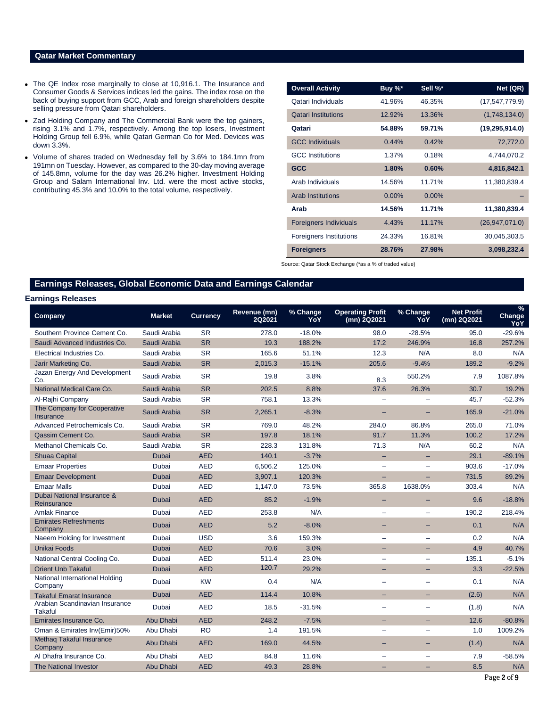### **Qatar Market Commentary**

- The QE Index rose marginally to close at 10,916.1. The Insurance and Consumer Goods & Services indices led the gains. The index rose on the back of buying support from GCC, Arab and foreign shareholders despite selling pressure from Qatari shareholders.
- Zad Holding Company and The Commercial Bank were the top gainers, rising 3.1% and 1.7%, respectively. Among the top losers, Investment Holding Group fell 6.9%, while Qatari German Co for Med. Devices was down 3.3%.
- Volume of shares traded on Wednesday fell by 3.6% to 184.1mn from 191mn on Tuesday. However, as compared to the 30-day moving average of 145.8mn, volume for the day was 26.2% higher. Investment Holding Group and Salam International Inv. Ltd. were the most active stocks, contributing 45.3% and 10.0% to the total volume, respectively.

| <b>Overall Activity</b>        | Buy %*   | Sell %*  | Net (QR)         |
|--------------------------------|----------|----------|------------------|
| Qatari Individuals             | 41.96%   | 46.35%   | (17, 547, 779.9) |
| <b>Qatari Institutions</b>     | 12.92%   | 13.36%   | (1,748,134.0)    |
| Qatari                         | 54.88%   | 59.71%   | (19, 295, 914.0) |
| <b>GCC Individuals</b>         | 0.44%    | 0.42%    | 72,772.0         |
| <b>GCC</b> Institutions        | 1.37%    | 0.18%    | 4,744,070.2      |
| <b>GCC</b>                     | 1.80%    | 0.60%    | 4,816,842.1      |
| Arab Individuals               | 14.56%   | 11.71%   | 11,380,839.4     |
| <b>Arab Institutions</b>       | $0.00\%$ | $0.00\%$ |                  |
| Arab                           | 14.56%   | 11.71%   | 11,380,839.4     |
| <b>Foreigners Individuals</b>  | 4.43%    | 11.17%   | (26, 947, 071.0) |
| <b>Foreigners Institutions</b> | 24.33%   | 16.81%   | 30,045,303.5     |
| <b>Foreigners</b>              | 28.76%   | 27.98%   | 3,098,232.4      |

Source: Qatar Stock Exchange (\*as a % of traded value)

# **Earnings Releases, Global Economic Data and Earnings Calendar**

### **Earnings Releases**

| Company                                         | <b>Market</b> | <b>Currency</b> | Revenue (mn)<br><b>2Q2021</b> | % Change<br>YoY | <b>Operating Profit</b><br>(mn) 2Q2021 | % Change<br>YoY          | <b>Net Profit</b><br>(mn) 2Q2021 | %<br>Change<br>YoY |
|-------------------------------------------------|---------------|-----------------|-------------------------------|-----------------|----------------------------------------|--------------------------|----------------------------------|--------------------|
| Southern Province Cement Co.                    | Saudi Arabia  | <b>SR</b>       | 278.0                         | $-18.0%$        | 98.0                                   | $-28.5%$                 | 95.0                             | $-29.6%$           |
| Saudi Advanced Industries Co.                   | Saudi Arabia  | <b>SR</b>       | 19.3                          | 188.2%          | 17.2                                   | 246.9%                   | 16.8                             | 257.2%             |
| Electrical Industries Co.                       | Saudi Arabia  | <b>SR</b>       | 165.6                         | 51.1%           | 12.3                                   | N/A                      | 8.0                              | N/A                |
| Jarir Marketing Co.                             | Saudi Arabia  | <b>SR</b>       | 2,015.3                       | $-15.1%$        | 205.6                                  | $-9.4%$                  | 189.2                            | $-9.2%$            |
| Jazan Energy And Development<br>Co.             | Saudi Arabia  | <b>SR</b>       | 19.8                          | 3.8%            | 8.3                                    | 550.2%                   | 7.9                              | 1087.8%            |
| National Medical Care Co.                       | Saudi Arabia  | <b>SR</b>       | 202.5                         | 8.8%            | 37.6                                   | 26.3%                    | 30.7                             | 19.2%              |
| Al-Rajhi Company                                | Saudi Arabia  | <b>SR</b>       | 758.1                         | 13.3%           | $\equiv$                               |                          | 45.7                             | $-52.3%$           |
| The Company for Cooperative<br><b>Insurance</b> | Saudi Arabia  | <b>SR</b>       | 2,265.1                       | $-8.3%$         | $\overline{\phantom{0}}$               |                          | 165.9                            | $-21.0%$           |
| Advanced Petrochemicals Co.                     | Saudi Arabia  | <b>SR</b>       | 769.0                         | 48.2%           | 284.0                                  | 86.8%                    | 265.0                            | 71.0%              |
| Qassim Cement Co.                               | Saudi Arabia  | <b>SR</b>       | 197.8                         | 18.1%           | 91.7                                   | 11.3%                    | 100.2                            | 17.2%              |
| Methanol Chemicals Co.                          | Saudi Arabia  | <b>SR</b>       | 228.3                         | 131.8%          | 71.3                                   | N/A                      | 60.2                             | N/A                |
| <b>Shuaa Capital</b>                            | Dubai         | <b>AED</b>      | 140.1                         | $-3.7%$         | $\qquad \qquad -$                      |                          | 29.1                             | $-89.1%$           |
| <b>Emaar Properties</b>                         | Dubai         | <b>AED</b>      | 6,506.2                       | 125.0%          | $\equiv$                               |                          | 903.6                            | $-17.0%$           |
| <b>Emaar Development</b>                        | <b>Dubai</b>  | <b>AED</b>      | 3,907.1                       | 120.3%          | $-$                                    |                          | 731.5                            | 89.2%              |
| <b>Emaar Malls</b>                              | Dubai         | <b>AED</b>      | 1,147.0                       | 73.5%           | 365.8                                  | 1638.0%                  | 303.4                            | N/A                |
| Dubai National Insurance &<br>Reinsurance       | Dubai         | <b>AED</b>      | 85.2                          | $-1.9%$         |                                        |                          | 9.6                              | $-18.8%$           |
| Amlak Finance                                   | Dubai         | <b>AED</b>      | 253.8                         | N/A             | ÷,                                     |                          | 190.2                            | 218.4%             |
| <b>Emirates Refreshments</b><br>Company         | Dubai         | <b>AED</b>      | 5.2                           | $-8.0%$         |                                        |                          | 0.1                              | N/A                |
| Naeem Holding for Investment                    | Dubai         | <b>USD</b>      | 3.6                           | 159.3%          | $\overline{\phantom{0}}$               |                          | 0.2                              | N/A                |
| <b>Unikai Foods</b>                             | Dubai         | <b>AED</b>      | 70.6                          | 3.0%            | -                                      |                          | 4.9                              | 40.7%              |
| National Central Cooling Co.                    | Dubai         | <b>AED</b>      | 511.4                         | 23.0%           | $\overline{\phantom{m}}$               | $\overline{\phantom{0}}$ | 135.1                            | $-5.1%$            |
| <b>Orient Unb Takaful</b>                       | Dubai         | <b>AED</b>      | 120.7                         | 29.2%           | -                                      | -                        | 3.3                              | $-22.5%$           |
| National International Holding<br>Company       | Dubai         | <b>KW</b>       | 0.4                           | N/A             |                                        |                          | 0.1                              | N/A                |
| <b>Takaful Emarat Insurance</b>                 | Dubai         | <b>AED</b>      | 114.4                         | 10.8%           | ۳                                      | ۳                        | (2.6)                            | N/A                |
| Arabian Scandinavian Insurance<br>Takaful       | Dubai         | <b>AED</b>      | 18.5                          | $-31.5%$        | $\equiv$                               |                          | (1.8)                            | N/A                |
| Emirates Insurance Co.                          | Abu Dhabi     | <b>AED</b>      | 248.2                         | $-7.5%$         | ÷                                      | -                        | 12.6                             | $-80.8%$           |
| Oman & Emirates Inv(Emir)50%                    | Abu Dhabi     | R <sub>O</sub>  | 1.4                           | 191.5%          | $\overline{\phantom{0}}$               | $\overline{\phantom{0}}$ | 1.0                              | 1009.2%            |
| Methag Takaful Insurance<br>Company             | Abu Dhabi     | <b>AED</b>      | 169.0                         | 44.5%           | -                                      | -                        | (1.4)                            | N/A                |
| Al Dhafra Insurance Co.                         | Abu Dhabi     | <b>AED</b>      | 84.8                          | 11.6%           | $\overline{\phantom{0}}$               |                          | 7.9                              | $-58.5%$           |
| <b>The National Investor</b>                    | Abu Dhabi     | <b>AED</b>      | 49.3                          | 28.8%           |                                        |                          | 8.5                              | N/A                |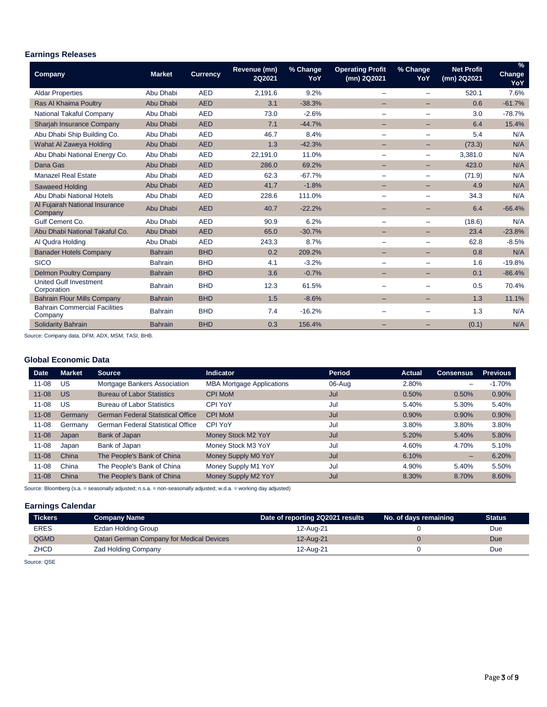# **Earnings Releases**

| Company                                         | <b>Market</b>  | <b>Currency</b> | Revenue (mn)<br>2Q2021 | % Change<br>YoY | <b>Operating Profit</b><br>(mn) 2Q2021 | % Change<br>YoY          | <b>Net Profit</b><br>(mn) 2Q2021 | $\frac{9}{6}$<br>Change<br>YoY |
|-------------------------------------------------|----------------|-----------------|------------------------|-----------------|----------------------------------------|--------------------------|----------------------------------|--------------------------------|
| <b>Aldar Properties</b>                         | Abu Dhabi      | <b>AED</b>      | 2,191.6                | 9.2%            | $\qquad \qquad =$                      |                          | 520.1                            | 7.6%                           |
| Ras Al Khaima Poultry                           | Abu Dhabi      | <b>AED</b>      | 3.1                    | $-38.3%$        |                                        |                          | 0.6                              | $-61.7%$                       |
| National Takaful Company                        | Abu Dhabi      | <b>AED</b>      | 73.0                   | $-2.6%$         | $\overline{\phantom{0}}$               | $\equiv$                 | 3.0                              | $-78.7%$                       |
| Sharjah Insurance Company                       | Abu Dhabi      | <b>AED</b>      | 7.1                    | $-44.7%$        |                                        |                          | 6.4                              | 15.4%                          |
| Abu Dhabi Ship Building Co.                     | Abu Dhabi      | <b>AED</b>      | 46.7                   | 8.4%            | $\qquad \qquad \blacksquare$           | $\qquad \qquad$          | 5.4                              | N/A                            |
| Wahat Al Zaweya Holding                         | Abu Dhabi      | <b>AED</b>      | 1.3                    | $-42.3%$        | -                                      | -                        | (73.3)                           | N/A                            |
| Abu Dhabi National Energy Co.                   | Abu Dhabi      | <b>AED</b>      | 22,191.0               | 11.0%           | $\overline{\phantom{0}}$               |                          | 3,381.0                          | N/A                            |
| Dana Gas                                        | Abu Dhabi      | <b>AED</b>      | 286.0                  | 69.2%           |                                        |                          | 423.0                            | N/A                            |
| <b>Manazel Real Estate</b>                      | Abu Dhabi      | <b>AED</b>      | 62.3                   | $-67.7%$        |                                        | $\overline{\phantom{m}}$ | (71.9)                           | N/A                            |
| <b>Sawaeed Holding</b>                          | Abu Dhabi      | <b>AED</b>      | 41.7                   | $-1.8%$         | -                                      |                          | 4.9                              | N/A                            |
| Abu Dhabi National Hotels                       | Abu Dhabi      | <b>AED</b>      | 228.6                  | 111.0%          | $\overline{\phantom{0}}$               | $\overline{\phantom{m}}$ | 34.3                             | N/A                            |
| Al Fujairah National Insurance<br>Company       | Abu Dhabi      | <b>AED</b>      | 40.7                   | $-22.2%$        |                                        |                          | 6.4                              | $-66.4%$                       |
| Gulf Cement Co.                                 | Abu Dhabi      | <b>AED</b>      | 90.9                   | 6.2%            | $\qquad \qquad =$                      | $\overline{\phantom{m}}$ | (18.6)                           | N/A                            |
| Abu Dhabi National Takaful Co.                  | Abu Dhabi      | <b>AED</b>      | 65.0                   | $-30.7%$        | -                                      | -                        | 23.4                             | $-23.8%$                       |
| Al Qudra Holding                                | Abu Dhabi      | <b>AED</b>      | 243.3                  | 8.7%            | $\equiv$                               | $\equiv$                 | 62.8                             | $-8.5%$                        |
| <b>Banader Hotels Company</b>                   | <b>Bahrain</b> | <b>BHD</b>      | 0.2                    | 209.2%          |                                        | $\overline{\phantom{0}}$ | 0.8                              | N/A                            |
| <b>SICO</b>                                     | <b>Bahrain</b> | <b>BHD</b>      | 4.1                    | $-3.2%$         |                                        |                          | 1.6                              | $-19.8%$                       |
| <b>Delmon Poultry Company</b>                   | <b>Bahrain</b> | <b>BHD</b>      | 3.6                    | $-0.7%$         |                                        |                          | 0.1                              | $-86.4%$                       |
| <b>United Gulf Investment</b><br>Corporation    | <b>Bahrain</b> | <b>BHD</b>      | 12.3                   | 61.5%           |                                        |                          | 0.5                              | 70.4%                          |
| <b>Bahrain Flour Mills Company</b>              | <b>Bahrain</b> | <b>BHD</b>      | 1.5                    | $-8.6%$         |                                        |                          | 1.3                              | 11.1%                          |
| <b>Bahrain Commercial Facilities</b><br>Company | <b>Bahrain</b> | <b>BHD</b>      | 7.4                    | $-16.2%$        |                                        |                          | 1.3                              | N/A                            |
| <b>Solidarity Bahrain</b>                       | <b>Bahrain</b> | <b>BHD</b>      | 0.3                    | 156.4%          |                                        |                          | (0.1)                            | N/A                            |

Source: Company data, DFM, ADX, MSM, TASI, BHB.

# **Global Economic Data**

| <b>Date</b> | <b>Market</b> | <b>Source</b>                            | <b>Indicator</b>                 | <b>Period</b> | <b>Actual</b> | <b>Consensus</b> | <b>Previous</b> |
|-------------|---------------|------------------------------------------|----------------------------------|---------------|---------------|------------------|-----------------|
| $11 - 08$   | US            | Mortgage Bankers Association             | <b>MBA Mortgage Applications</b> | 06-Aug        | 2.80%         | -                | $-1.70%$        |
| $11 - 08$   | <b>US</b>     | <b>Bureau of Labor Statistics</b>        | <b>CPI MoM</b>                   | Jul           | 0.50%         | 0.50%            | 0.90%           |
| $11 - 08$   | US            | <b>Bureau of Labor Statistics</b>        | CPI YoY                          | Jul           | 5.40%         | 5.30%            | 5.40%           |
| $11 - 08$   | Germany       | <b>German Federal Statistical Office</b> | <b>CPI MoM</b>                   | Jul           | 0.90%         | 0.90%            | 0.90%           |
| $11 - 08$   | Germany       | <b>German Federal Statistical Office</b> | CPI YoY                          | Jul           | 3.80%         | 3.80%            | 3.80%           |
| $11 - 08$   | Japan         | Bank of Japan                            | Money Stock M2 YoY               | Jul           | 5.20%         | 5.40%            | 5.80%           |
| $11 - 08$   | Japan         | Bank of Japan                            | Money Stock M3 YoY               | Jul           | 4.60%         | 4.70%            | 5.10%           |
| $11 - 08$   | China         | The People's Bank of China               | Money Supply M0 YoY              | Jul           | 6.10%         | -                | 6.20%           |
| $11 - 08$   | China         | The People's Bank of China               | Money Supply M1 YoY              | Jul           | 4.90%         | 5.40%            | 5.50%           |
| $11 - 08$   | China         | The People's Bank of China               | Money Supply M2 YoY              | Jul           | 8.30%         | 8.70%            | 8.60%           |

Source: Bloomberg (s.a. = seasonally adjusted; n.s.a. = non-seasonally adjusted; w.d.a. = working day adjusted)

# **Earnings Calendar**

| <b>Tickers</b> | <b>Company Name</b>                              | Date of reporting 2Q2021 results | No. of days remaining | <b>Status</b> |
|----------------|--------------------------------------------------|----------------------------------|-----------------------|---------------|
| <b>ERES</b>    | Ezdan Holding Group                              | 12-Aug-21                        |                       | Due           |
| QGMD           | <b>Qatari German Company for Medical Devices</b> | 12-Aug-21                        |                       | Due           |
| ZHCD           | <b>Zad Holding Company</b>                       | 12-Aua-21                        |                       | Due           |

Source: QSE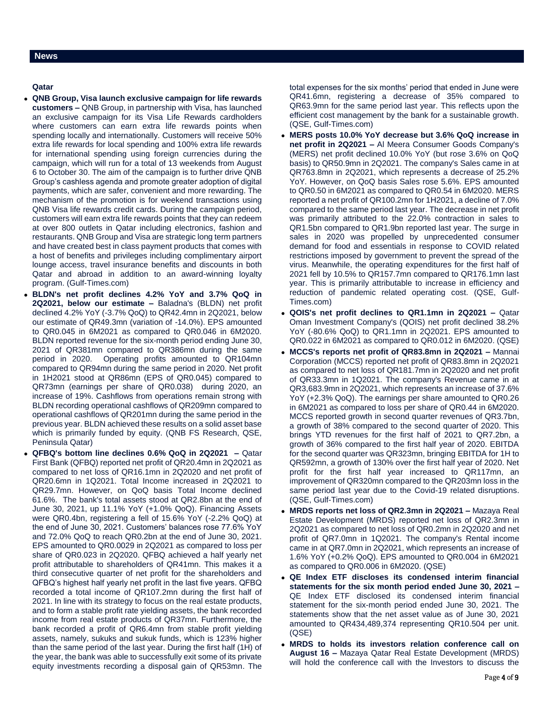# **Qatar**

- **QNB Group, Visa launch exclusive campaign for life rewards customers –** QNB Group, in partnership with Visa, has launched an exclusive campaign for its Visa Life Rewards cardholders where customers can earn extra life rewards points when spending locally and internationally. Customers will receive 50% extra life rewards for local spending and 100% extra life rewards for international spending using foreign currencies during the campaign, which will run for a total of 13 weekends from August 6 to October 30. The aim of the campaign is to further drive QNB Group's cashless agenda and promote greater adoption of digital payments, which are safer, convenient and more rewarding. The mechanism of the promotion is for weekend transactions using QNB Visa life rewards credit cards. During the campaign period, customers will earn extra life rewards points that they can redeem at over 800 outlets in Qatar including electronics, fashion and restaurants. QNB Group and Visa are strategic long term partners and have created best in class payment products that comes with a host of benefits and privileges including complimentary airport lounge access, travel insurance benefits and discounts in both Qatar and abroad in addition to an award-winning loyalty program. (Gulf-Times.com)
- **BLDN's net profit declines 4.2% YoY and 3.7% QoQ in 2Q2021, below our estimate –** Baladna's (BLDN) net profit declined 4.2% YoY (-3.7% QoQ) to QR42.4mn in 2Q2021, below our estimate of QR49.3mn (variation of -14.0%). EPS amounted to QR0.045 in 6M2021 as compared to QR0.046 in 6M2020. BLDN reported revenue for the six-month period ending June 30, 2021 of QR381mn compared to QR386mn during the same period in 2020. Operating profits amounted to QR104mn compared to QR94mn during the same period in 2020. Net profit in 1H2021 stood at QR86mn (EPS of QR0.045) compared to QR73mn (earnings per share of QR0.038) during 2020, an increase of 19%. Cashflows from operations remain strong with BLDN recording operational cashflows of QR209mn compared to operational cashflows of QR201mn during the same period in the previous year. BLDN achieved these results on a solid asset base which is primarily funded by equity. (QNB FS Research, QSE, Peninsula Qatar)
- **QFBQ's bottom line declines 0.6% QoQ in 2Q2021 –** Qatar First Bank (QFBQ) reported net profit of QR20.4mn in 2Q2021 as compared to net loss of QR16.1mn in 2Q2020 and net profit of QR20.6mn in 1Q2021. Total Income increased in 2Q2021 to QR29.7mn. However, on QoQ basis Total Income declined 61.6%. The bank's total assets stood at QR2.8bn at the end of June 30, 2021, up 11.1% YoY (+1.0% QoQ). Financing Assets were QR0.4bn, registering a fell of 15.6% YoY (-2.2% QoQ) at the end of June 30, 2021. Customers' balances rose 77.6% YoY and 72.0% QoQ to reach QR0.2bn at the end of June 30, 2021. EPS amounted to QR0.0029 in 2Q2021 as compared to loss per share of QR0.023 in 2Q2020. QFBQ achieved a half yearly net profit attributable to shareholders of QR41mn. This makes it a third consecutive quarter of net profit for the shareholders and QFBQ's highest half yearly net profit in the last five years. QFBQ recorded a total income of QR107.2mn during the first half of 2021. In line with its strategy to focus on the real estate products, and to form a stable profit rate yielding assets, the bank recorded income from real estate products of QR37mn. Furthermore, the bank recorded a profit of QR6.4mn from stable profit yielding assets, namely, sukuks and sukuk funds, which is 123% higher than the same period of the last year. During the first half (1H) of the year, the bank was able to successfully exit some of its private equity investments recording a disposal gain of QR53mn. The

total expenses for the six months' period that ended in June were QR41.6mn, registering a decrease of 35% compared to QR63.9mn for the same period last year. This reflects upon the efficient cost management by the bank for a sustainable growth. (QSE, Gulf-Times.com)

- **MERS posts 10.0% YoY decrease but 3.6% QoQ increase in net profit in 2Q2021 –** Al Meera Consumer Goods Company's (MERS) net profit declined 10.0% YoY (but rose 3.6% on QoQ basis) to QR50.9mn in 2Q2021. The company's Sales came in at QR763.8mn in 2Q2021, which represents a decrease of 25.2% YoY. However, on QoQ basis Sales rose 5.6%. EPS amounted to QR0.50 in 6M2021 as compared to QR0.54 in 6M2020. MERS reported a net profit of QR100.2mn for 1H2021, a decline of 7.0% compared to the same period last year. The decrease in net profit was primarily attributed to the 22.0% contraction in sales to QR1.5bn compared to QR1.9bn reported last year. The surge in sales in 2020 was propelled by unprecedented consumer demand for food and essentials in response to COVID related restrictions imposed by government to prevent the spread of the virus. Meanwhile, the operating expenditures for the first half of 2021 fell by 10.5% to QR157.7mn compared to QR176.1mn last year. This is primarily attributable to increase in efficiency and reduction of pandemic related operating cost. (QSE, Gulf-Times.com)
- **QOIS's net profit declines to QR1.1mn in 2Q2021 –** Qatar Oman Investment Company's (QOIS) net profit declined 38.2% YoY (-80.6% QoQ) to QR1.1mn in 2Q2021. EPS amounted to QR0.022 in 6M2021 as compared to QR0.012 in 6M2020. (QSE)
- **MCCS's reports net profit of QR83.8mn in 2Q2021 –** Mannai Corporation (MCCS) reported net profit of QR83.8mn in 2Q2021 as compared to net loss of QR181.7mn in 2Q2020 and net profit of QR33.3mn in 1Q2021. The company's Revenue came in at QR3,683.9mn in 2Q2021, which represents an increase of 37.6% YoY (+2.3% QoQ). The earnings per share amounted to QR0.26 in 6M2021 as compared to loss per share of QR0.44 in 6M2020. MCCS reported growth in second quarter revenues of QR3.7bn, a growth of 38% compared to the second quarter of 2020. This brings YTD revenues for the first half of 2021 to QR7.2bn, a growth of 36% compared to the first half year of 2020. EBITDA for the second quarter was QR323mn, bringing EBITDA for 1H to QR592mn, a growth of 130% over the first half year of 2020. Net profit for the first half year increased to QR117mn, an improvement of QR320mn compared to the QR203mn loss in the same period last year due to the Covid-19 related disruptions. (QSE, Gulf-Times.com)
- **MRDS reports net loss of QR2.3mn in 2Q2021 –** Mazaya Real Estate Development (MRDS) reported net loss of QR2.3mn in 2Q2021 as compared to net loss of QR0.2mn in 2Q2020 and net profit of QR7.0mn in 1Q2021. The company's Rental income came in at QR7.0mn in 2Q2021, which represents an increase of 1.6% YoY (+0.2% QoQ). EPS amounted to QR0.004 in 6M2021 as compared to QR0.006 in 6M2020. (QSE)
- **QE Index ETF discloses its condensed interim financial statements for the six month period ended June 30, 2021 –** QE Index ETF disclosed its condensed interim financial statement for the six-month period ended June 30, 2021. The statements show that the net asset value as of June 30, 2021 amounted to QR434,489,374 representing QR10.504 per unit. (QSE)
- **MRDS to holds its investors relation conference call on August 16 –** Mazaya Qatar Real Estate Development (MRDS) will hold the conference call with the Investors to discuss the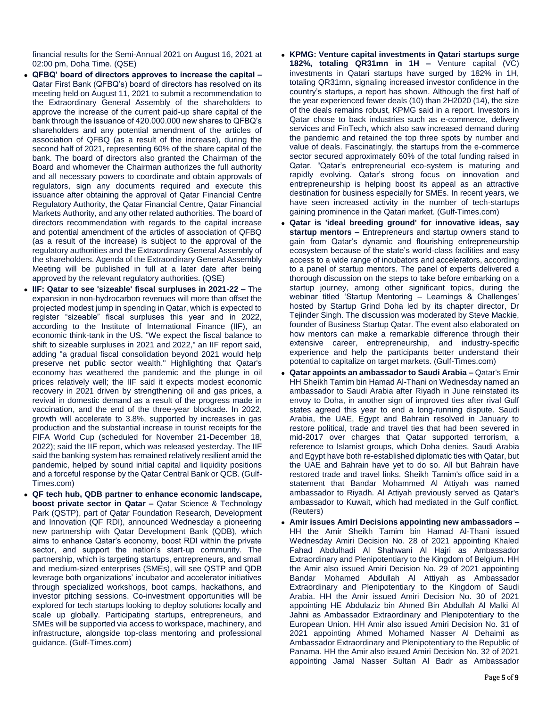financial results for the Semi-Annual 2021 on August 16, 2021 at 02:00 pm, Doha Time. (QSE)

- **QFBQ' board of directors approves to increase the capital –** Qatar First Bank (QFBQ's) board of directors has resolved on its meeting held on August 11, 2021 to submit a recommendation to the Extraordinary General Assembly of the shareholders to approve the increase of the current paid-up share capital of the bank through the issuance of 420.000.000 new shares to QFBQ's shareholders and any potential amendment of the articles of association of QFBQ (as a result of the increase), during the second half of 2021, representing 60% of the share capital of the bank. The board of directors also granted the Chairman of the Board and whomever the Chairman authorizes the full authority and all necessary powers to coordinate and obtain approvals of regulators, sign any documents required and execute this issuance after obtaining the approval of Qatar Financial Centre Regulatory Authority, the Qatar Financial Centre, Qatar Financial Markets Authority, and any other related authorities. The board of directors recommendation with regards to the capital increase and potential amendment of the articles of association of QFBQ (as a result of the increase) is subject to the approval of the regulatory authorities and the Extraordinary General Assembly of the shareholders. Agenda of the Extraordinary General Assembly Meeting will be published in full at a later date after being approved by the relevant regulatory authorities. (QSE)
- **IIF: Qatar to see 'sizeable' fiscal surpluses in 2021-22 –** The expansion in non-hydrocarbon revenues will more than offset the projected modest jump in spending in Qatar, which is expected to register "sizeable" fiscal surpluses this year and in 2022, according to the Institute of International Finance (IIF), an economic think-tank in the US. "We expect the fiscal balance to shift to sizeable surpluses in 2021 and 2022," an IIF report said, adding "a gradual fiscal consolidation beyond 2021 would help preserve net public sector wealth." Highlighting that Qatar's economy has weathered the pandemic and the plunge in oil prices relatively well; the IIF said it expects modest economic recovery in 2021 driven by strengthening oil and gas prices, a revival in domestic demand as a result of the progress made in vaccination, and the end of the three-year blockade. In 2022, growth will accelerate to 3.8%, supported by increases in gas production and the substantial increase in tourist receipts for the FIFA World Cup (scheduled for November 21-December 18, 2022); said the IIF report, which was released yesterday. The IIF said the banking system has remained relatively resilient amid the pandemic, helped by sound initial capital and liquidity positions and a forceful response by the Qatar Central Bank or QCB. (Gulf-Times.com)
- **QF tech hub, QDB partner to enhance economic landscape, boost private sector in Qatar –** Qatar Science & Technology Park (QSTP), part of Qatar Foundation Research, Development and Innovation (QF RDI), announced Wednesday a pioneering new partnership with Qatar Development Bank (QDB), which aims to enhance Qatar's economy, boost RDI within the private sector, and support the nation's start-up community. The partnership, which is targeting startups, entrepreneurs, and small and medium-sized enterprises (SMEs), will see QSTP and QDB leverage both organizations' incubator and accelerator initiatives through specialized workshops, boot camps, hackathons, and investor pitching sessions. Co-investment opportunities will be explored for tech startups looking to deploy solutions locally and scale up globally. Participating startups, entrepreneurs, and SMEs will be supported via access to workspace, machinery, and infrastructure, alongside top-class mentoring and professional guidance. (Gulf-Times.com)
- **KPMG: Venture capital investments in Qatari startups surge 182%, totaling QR31mn in 1H –** Venture capital (VC) investments in Qatari startups have surged by 182% in 1H, totaling QR31mn, signaling increased investor confidence in the country's startups, a report has shown. Although the first half of the year experienced fewer deals (10) than 2H2020 (14), the size of the deals remains robust, KPMG said in a report. Investors in Qatar chose to back industries such as e-commerce, delivery services and FinTech, which also saw increased demand during the pandemic and retained the top three spots by number and value of deals. Fascinatingly, the startups from the e-commerce sector secured approximately 60% of the total funding raised in Qatar. "Qatar's entrepreneurial eco-system is maturing and rapidly evolving. Qatar's strong focus on innovation and entrepreneurship is helping boost its appeal as an attractive destination for business especially for SMEs. In recent years, we have seen increased activity in the number of tech-startups gaining prominence in the Qatari market. (Gulf-Times.com)
- **Qatar is 'ideal breeding ground' for innovative ideas, say startup mentors –** Entrepreneurs and startup owners stand to gain from Qatar's dynamic and flourishing entrepreneurship ecosystem because of the state's world-class facilities and easy access to a wide range of incubators and accelerators, according to a panel of startup mentors. The panel of experts delivered a thorough discussion on the steps to take before embarking on a startup journey, among other significant topics, during the webinar titled 'Startup Mentoring – Learnings & Challenges' hosted by Startup Grind Doha led by its chapter director, Dr Tejinder Singh. The discussion was moderated by Steve Mackie, founder of Business Startup Qatar. The event also elaborated on how mentors can make a remarkable difference through their extensive career, entrepreneurship, and industry-specific experience and help the participants better understand their potential to capitalize on target markets. (Gulf-Times.com)
- **Qatar appoints an ambassador to Saudi Arabia –** Qatar's Emir HH Sheikh Tamim bin Hamad Al-Thani on Wednesday named an ambassador to Saudi Arabia after Riyadh in June reinstated its envoy to Doha, in another sign of improved ties after rival Gulf states agreed this year to end a long-running dispute. Saudi Arabia, the UAE, Egypt and Bahrain resolved in January to restore political, trade and travel ties that had been severed in mid-2017 over charges that Qatar supported terrorism, a reference to Islamist groups, which Doha denies. Saudi Arabia and Egypt have both re-established diplomatic ties with Qatar, but the UAE and Bahrain have yet to do so. All but Bahrain have restored trade and travel links. Sheikh Tamim's office said in a statement that Bandar Mohammed Al Attiyah was named ambassador to Riyadh. Al Attiyah previously served as Qatar's ambassador to Kuwait, which had mediated in the Gulf conflict. (Reuters)
- **Amir issues Amiri Decisions appointing new ambassadors –** HH the Amir Sheikh Tamim bin Hamad Al-Thani issued Wednesday Amiri Decision No. 28 of 2021 appointing Khaled Fahad Abdulhadi Al Shahwani Al Hajri as Ambassador Extraordinary and Plenipotentiary to the Kingdom of Belgium. HH the Amir also issued Amiri Decision No. 29 of 2021 appointing Bandar Mohamed Abdullah Al Attiyah as Ambassador Extraordinary and Plenipotentiary to the Kingdom of Saudi Arabia. HH the Amir issued Amiri Decision No. 30 of 2021 appointing HE Abdulaziz bin Ahmed Bin Abdullah Al Malki Al Jahni as Ambassador Extraordinary and Plenipotentiary to the European Union. HH Amir also issued Amiri Decision No. 31 of 2021 appointing Ahmed Mohamed Nasser Al Dehaimi as Ambassador Extraordinary and Plenipotentiary to the Republic of Panama. HH the Amir also issued Amiri Decision No. 32 of 2021 appointing Jamal Nasser Sultan Al Badr as Ambassador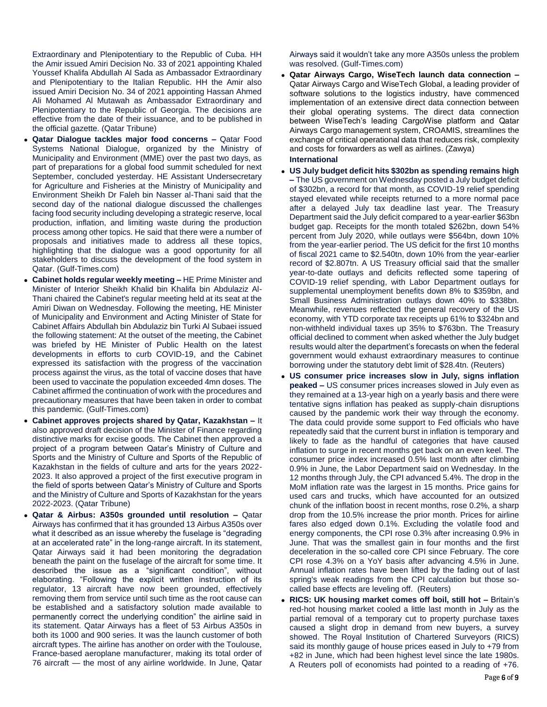Extraordinary and Plenipotentiary to the Republic of Cuba. HH the Amir issued Amiri Decision No. 33 of 2021 appointing Khaled Youssef Khalifa Abdullah Al Sada as Ambassador Extraordinary and Plenipotentiary to the Italian Republic. HH the Amir also issued Amiri Decision No. 34 of 2021 appointing Hassan Ahmed Ali Mohamed Al Mutawah as Ambassador Extraordinary and Plenipotentiary to the Republic of Georgia. The decisions are effective from the date of their issuance, and to be published in the official gazette. (Qatar Tribune)

- **Qatar Dialogue tackles major food concerns –** Qatar Food Systems National Dialogue, organized by the Ministry of Municipality and Environment (MME) over the past two days, as part of preparations for a global food summit scheduled for next September, concluded yesterday. HE Assistant Undersecretary for Agriculture and Fisheries at the Ministry of Municipality and Environment Sheikh Dr Faleh bin Nasser al-Thani said that the second day of the national dialogue discussed the challenges facing food security including developing a strategic reserve, local production, inflation, and limiting waste during the production process among other topics. He said that there were a number of proposals and initiatives made to address all these topics, highlighting that the dialogue was a good opportunity for all stakeholders to discuss the development of the food system in Qatar. (Gulf-Times.com)
- **Cabinet holds regular weekly meeting –** HE Prime Minister and Minister of Interior Sheikh Khalid bin Khalifa bin Abdulaziz Al-Thani chaired the Cabinet's regular meeting held at its seat at the Amiri Diwan on Wednesday. Following the meeting, HE Minister of Municipality and Environment and Acting Minister of State for Cabinet Affairs Abdullah bin Abdulaziz bin Turki Al Subaei issued the following statement: At the outset of the meeting, the Cabinet was briefed by HE Minister of Public Health on the latest developments in efforts to curb COVID-19, and the Cabinet expressed its satisfaction with the progress of the vaccination process against the virus, as the total of vaccine doses that have been used to vaccinate the population exceeded 4mn doses. The Cabinet affirmed the continuation of work with the procedures and precautionary measures that have been taken in order to combat this pandemic. (Gulf-Times.com)
- **Cabinet approves projects shared by Qatar, Kazakhstan –** It also approved draft decision of the Minister of Finance regarding distinctive marks for excise goods. The Cabinet then approved a project of a program between Qatar's Ministry of Culture and Sports and the Ministry of Culture and Sports of the Republic of Kazakhstan in the fields of culture and arts for the years 2022- 2023. It also approved a project of the first executive program in the field of sports between Qatar's Ministry of Culture and Sports and the Ministry of Culture and Sports of Kazakhstan for the years 2022-2023. (Qatar Tribune)
- **Qatar & Airbus: A350s grounded until resolution –** Qatar Airways has confirmed that it has grounded 13 Airbus A350s over what it described as an issue whereby the fuselage is "degrading at an accelerated rate" in the long-range aircraft. In its statement, Qatar Airways said it had been monitoring the degradation beneath the paint on the fuselage of the aircraft for some time. It described the issue as a "significant condition", without elaborating. "Following the explicit written instruction of its regulator, 13 aircraft have now been grounded, effectively removing them from service until such time as the root cause can be established and a satisfactory solution made available to permanently correct the underlying condition" the airline said in its statement. Qatar Airways has a fleet of 53 Airbus A350s in both its 1000 and 900 series. It was the launch customer of both aircraft types. The airline has another on order with the Toulouse, France-based aeroplane manufacturer, making its total order of 76 aircraft — the most of any airline worldwide. In June, Qatar

Airways said it wouldn't take any more A350s unless the problem was resolved. (Gulf-Times.com)

 **Qatar Airways Cargo, WiseTech launch data connection –** Qatar Airways Cargo and WiseTech Global, a leading provider of software solutions to the logistics industry, have commenced implementation of an extensive direct data connection between their global operating systems. The direct data connection between WiseTech's leading CargoWise platform and Qatar Airways Cargo management system, CROAMIS, streamlines the exchange of critical operational data that reduces risk, complexity and costs for forwarders as well as airlines. (Zawya)

## **International**

- **US July budget deficit hits \$302bn as spending remains high –** The US government on Wednesday posted a July budget deficit of \$302bn, a record for that month, as COVID-19 relief spending stayed elevated while receipts returned to a more normal pace after a delayed July tax deadline last year. The Treasury Department said the July deficit compared to a year-earlier \$63bn budget gap. Receipts for the month totaled \$262bn, down 54% percent from July 2020, while outlays were \$564bn, down 10% from the year-earlier period. The US deficit for the first 10 months of fiscal 2021 came to \$2.540tn, down 10% from the year-earlier record of \$2.807tn. A US Treasury official said that the smaller year-to-date outlays and deficits reflected some tapering of COVID-19 relief spending, with Labor Department outlays for supplemental unemployment benefits down 8% to \$359bn, and Small Business Administration outlays down 40% to \$338bn. Meanwhile, revenues reflected the general recovery of the US economy, with YTD corporate tax receipts up 61% to \$324bn and non-withheld individual taxes up 35% to \$763bn. The Treasury official declined to comment when asked whether the July budget results would alter the department's forecasts on when the federal government would exhaust extraordinary measures to continue borrowing under the statutory debt limit of \$28.4tn. (Reuters)
- **US consumer price increases slow in July, signs inflation peaked –** US consumer prices increases slowed in July even as they remained at a 13-year high on a yearly basis and there were tentative signs inflation has peaked as supply-chain disruptions caused by the pandemic work their way through the economy. The data could provide some support to Fed officials who have repeatedly said that the current burst in inflation is temporary and likely to fade as the handful of categories that have caused inflation to surge in recent months get back on an even keel. The consumer price index increased 0.5% last month after climbing 0.9% in June, the Labor Department said on Wednesday. In the 12 months through July, the CPI advanced 5.4%. The drop in the MoM inflation rate was the largest in 15 months. Price gains for used cars and trucks, which have accounted for an outsized chunk of the inflation boost in recent months, rose 0.2%, a sharp drop from the 10.5% increase the prior month. Prices for airline fares also edged down 0.1%. Excluding the volatile food and energy components, the CPI rose 0.3% after increasing 0.9% in June. That was the smallest gain in four months and the first deceleration in the so-called core CPI since February. The core CPI rose 4.3% on a YoY basis after advancing 4.5% in June. Annual inflation rates have been lifted by the fading out of last spring's weak readings from the CPI calculation but those socalled base effects are leveling off. (Reuters)
- **RICS: UK housing market comes off boil, still hot –** Britain's red-hot housing market cooled a little last month in July as the partial removal of a temporary cut to property purchase taxes caused a slight drop in demand from new buyers, a survey showed. The Royal Institution of Chartered Surveyors (RICS) said its monthly gauge of house prices eased in July to +79 from +82 in June, which had been highest level since the late 1980s. A Reuters poll of economists had pointed to a reading of +76.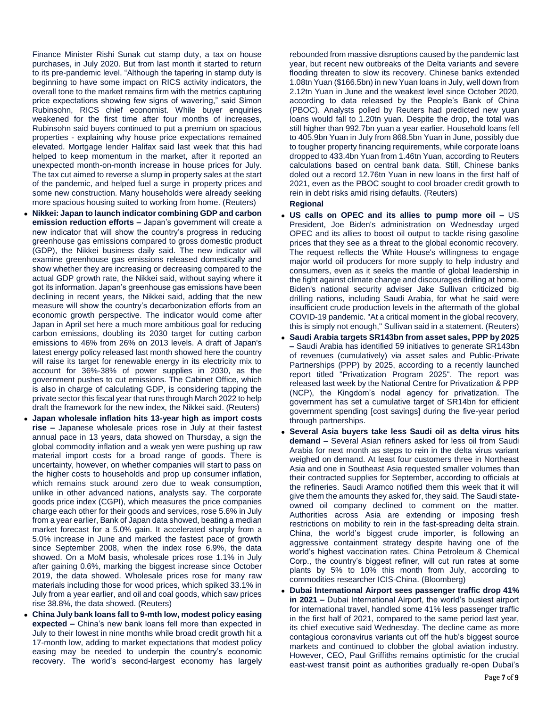Finance Minister Rishi Sunak cut stamp duty, a tax on house purchases, in July 2020. But from last month it started to return to its pre-pandemic level. "Although the tapering in stamp duty is beginning to have some impact on RICS activity indicators, the overall tone to the market remains firm with the metrics capturing price expectations showing few signs of wavering," said Simon Rubinsohn, RICS chief economist. While buyer enquiries weakened for the first time after four months of increases, Rubinsohn said buyers continued to put a premium on spacious properties - explaining why house price expectations remained elevated. Mortgage lender Halifax said last week that this had helped to keep momentum in the market, after it reported an unexpected month-on-month increase in house prices for July. The tax cut aimed to reverse a slump in property sales at the start of the pandemic, and helped fuel a surge in property prices and some new construction. Many households were already seeking more spacious housing suited to working from home. (Reuters)

- **Nikkei: Japan to launch indicator combining GDP and carbon emission reduction efforts –** Japan's government will create a new indicator that will show the country's progress in reducing greenhouse gas emissions compared to gross domestic product (GDP), the Nikkei business daily said. The new indicator will examine greenhouse gas emissions released domestically and show whether they are increasing or decreasing compared to the actual GDP growth rate, the Nikkei said, without saying where it got its information. Japan's greenhouse gas emissions have been declining in recent years, the Nikkei said, adding that the new measure will show the country's decarbonization efforts from an economic growth perspective. The indicator would come after Japan in April set here a much more ambitious goal for reducing carbon emissions, doubling its 2030 target for cutting carbon emissions to 46% from 26% on 2013 levels. A draft of Japan's latest energy policy released last month showed here the country will raise its target for renewable energy in its electricity mix to account for 36%-38% of power supplies in 2030, as the government pushes to cut emissions. The Cabinet Office, which is also in charge of calculating GDP, is considering tapping the private sector this fiscal year that runs through March 2022 to help draft the framework for the new index, the Nikkei said. (Reuters)
- **Japan wholesale inflation hits 13-year high as import costs rise –** Japanese wholesale prices rose in July at their fastest annual pace in 13 years, data showed on Thursday, a sign the global commodity inflation and a weak yen were pushing up raw material import costs for a broad range of goods. There is uncertainty, however, on whether companies will start to pass on the higher costs to households and prop up consumer inflation, which remains stuck around zero due to weak consumption. unlike in other advanced nations, analysts say. The corporate goods price index (CGPI), which measures the price companies charge each other for their goods and services, rose 5.6% in July from a year earlier, Bank of Japan data showed, beating a median market forecast for a 5.0% gain. It accelerated sharply from a 5.0% increase in June and marked the fastest pace of growth since September 2008, when the index rose 6.9%, the data showed. On a MoM basis, wholesale prices rose 1.1% in July after gaining 0.6%, marking the biggest increase since October 2019, the data showed. Wholesale prices rose for many raw materials including those for wood prices, which spiked 33.1% in July from a year earlier, and oil and coal goods, which saw prices rise 38.8%, the data showed. (Reuters)
- **China July bank loans fall to 9-mth low, modest policy easing expected –** China's new bank loans fell more than expected in July to their lowest in nine months while broad credit growth hit a 17-month low, adding to market expectations that modest policy easing may be needed to underpin the country's economic recovery. The world's second-largest economy has largely

rebounded from massive disruptions caused by the pandemic last year, but recent new outbreaks of the Delta variants and severe flooding threaten to slow its recovery. Chinese banks extended 1.08tn Yuan (\$166.5bn) in new Yuan loans in July, well down from 2.12tn Yuan in June and the weakest level since October 2020, according to data released by the People's Bank of China (PBOC). Analysts polled by Reuters had predicted new yuan loans would fall to 1.20tn yuan. Despite the drop, the total was still higher than 992.7bn yuan a year earlier. Household loans fell to 405.9bn Yuan in July from 868.5bn Yuan in June, possibly due to tougher property financing requirements, while corporate loans dropped to 433.4bn Yuan from 1.46tn Yuan, according to Reuters calculations based on central bank data. Still, Chinese banks doled out a record 12.76tn Yuan in new loans in the first half of 2021, even as the PBOC sought to cool broader credit growth to rein in debt risks amid rising defaults. (Reuters)

### **Regional**

- **US calls on OPEC and its allies to pump more oil –** US President, Joe Biden's administration on Wednesday urged OPEC and its allies to boost oil output to tackle rising gasoline prices that they see as a threat to the global economic recovery. The request reflects the White House's willingness to engage major world oil producers for more supply to help industry and consumers, even as it seeks the mantle of global leadership in the fight against climate change and discourages drilling at home. Biden's national security adviser Jake Sullivan criticized big drilling nations, including Saudi Arabia, for what he said were insufficient crude production levels in the aftermath of the global COVID-19 pandemic. "At a critical moment in the global recovery, this is simply not enough," Sullivan said in a statement. (Reuters)
- **Saudi Arabia targets SR143bn from asset sales, PPP by 2025 –** Saudi Arabia has identified 59 initiatives to generate SR143bn of revenues (cumulatively) via asset sales and Public-Private Partnerships (PPP) by 2025, according to a recently launched report titled "Privatization Program 2025". The report was released last week by the National Centre for Privatization & PPP (NCP), the Kingdom's nodal agency for privatization. The government has set a cumulative target of SR14bn for efficient government spending [cost savings] during the five-year period through partnerships.
- **Several Asia buyers take less Saudi oil as delta virus hits demand –** Several Asian refiners asked for less oil from Saudi Arabia for next month as steps to rein in the delta virus variant weighed on demand. At least four customers three in Northeast Asia and one in Southeast Asia requested smaller volumes than their contracted supplies for September, according to officials at the refineries. Saudi Aramco notified them this week that it will give them the amounts they asked for, they said. The Saudi stateowned oil company declined to comment on the matter. Authorities across Asia are extending or imposing fresh restrictions on mobility to rein in the fast-spreading delta strain. China, the world's biggest crude importer, is following an aggressive containment strategy despite having one of the world's highest vaccination rates. China Petroleum & Chemical Corp., the country's biggest refiner, will cut run rates at some plants by 5% to 10% this month from July, according to commodities researcher ICIS-China. (Bloomberg)
- **Dubai International Airport sees passenger traffic drop 41% in 2021 –** Dubai International Airport, the world's busiest airport for international travel, handled some 41% less passenger traffic in the first half of 2021, compared to the same period last year, its chief executive said Wednesday. The decline came as more contagious coronavirus variants cut off the hub's biggest source markets and continued to clobber the global aviation industry. However, CEO, Paul Griffiths remains optimistic for the crucial east-west transit point as authorities gradually re-open Dubai's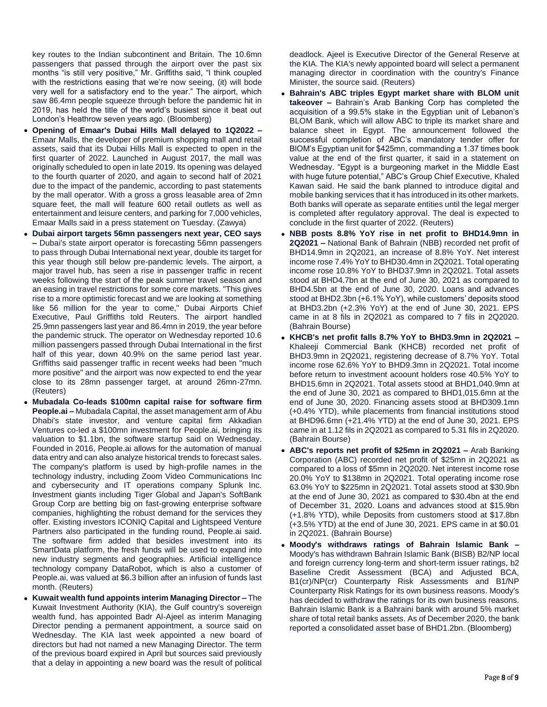key routes to the Indian subcontinent and Britain. The 10.6mn passengers that passed through the airport over the past six months "is still very positive," Mr. Griffiths said, "I think coupled with the restrictions easing that we're now seeing, (it) will bode very well for a satisfactory end to the year." The airport, which saw 86.4mn people squeeze through before the pandemic hit in 2019, has held the title of the world's busiest since it beat out London's Heathrow seven years ago. (Bloomberg)

- **Opening of Emaar's Dubai Hills Mall delayed to 1Q2022 –** Emaar Malls, the developer of premium shopping mall and retail assets, said that its Dubai Hills Mall is expected to open in the first quarter of 2022. Launched in August 2017, the mall was originally scheduled to open in late 2019. Its opening was delayed to the fourth quarter of 2020, and again to second half of 2021 due to the impact of the pandemic, according to past statements by the mall operator. With a gross a gross leasable area of 2mn square feet, the mall will feature 600 retail outlets as well as entertainment and leisure centers, and parking for 7,000 vehicles, Emaar Malls said in a press statement on Tuesday. (Zawya)
- **Dubai airport targets 56mn passengers next year, CEO says –** Dubai's state airport operator is forecasting 56mn passengers to pass through Dubai International next year, double its target for this year though still below pre-pandemic levels. The airport, a major travel hub, has seen a rise in passenger traffic in recent weeks following the start of the peak summer travel season and an easing in travel restrictions for some core markets. "This gives rise to a more optimistic forecast and we are looking at something like 56 million for the year to come," Dubai Airports Chief Executive, Paul Griffiths told Reuters. The airport handled 25.9mn passengers last year and 86.4mn in 2019, the year before the pandemic struck. The operator on Wednesday reported 10.6 million passengers passed through Dubai International in the first half of this year, down 40.9% on the same period last year. Griffiths said passenger traffic in recent weeks had been "much more positive" and the airport was now expected to end the year close to its 28mn passenger target, at around 26mn-27mn. (Reuters)
- **Mubadala Co-leads \$100mn capital raise for software firm People.ai –** Mubadala Capital, the asset management arm of Abu Dhabi's state investor, and venture capital firm Akkadian Ventures co-led a \$100mn investment for People.ai, bringing its valuation to \$1.1bn, the software startup said on Wednesday. Founded in 2016, People.ai allows for the automation of manual data entry and can also analyze historical trends to forecast sales. The company's platform is used by high-profile names in the technology industry, including Zoom Video Communications Inc and cybersecurity and IT operations company Splunk Inc. Investment giants including Tiger Global and Japan's SoftBank Group Corp are betting big on fast-growing enterprise software companies, highlighting the robust demand for the services they offer. Existing investors ICONIQ Capital and Lightspeed Venture Partners also participated in the funding round, People.ai said. The software firm added that besides investment into its SmartData platform, the fresh funds will be used to expand into new industry segments and geographies. Artificial intelligence technology company DataRobot, which is also a customer of People.ai, was valued at \$6.3 billion after an infusion of funds last month. (Reuters)
- **Kuwait wealth fund appoints interim Managing Director –** The Kuwait Investment Authority (KIA), the Gulf country's sovereign wealth fund, has appointed Badr Al-Ajeel as interim Managing Director pending a permanent appointment, a source said on Wednesday. The KIA last week appointed a new board of directors but had not named a new Managing Director. The term of the previous board expired in April but sources said previously that a delay in appointing a new board was the result of political

deadlock. Ajeel is Executive Director of the General Reserve at the KIA. The KIA's newly appointed board will select a permanent managing director in coordination with the country's Finance Minister, the source said. (Reuters)

- **Bahrain's ABC triples Egypt market share with BLOM unit takeover –** Bahrain's Arab Banking Corp has completed the acquisition of a 99.5% stake in the Egyptian unit of Lebanon's BLOM Bank, which will allow ABC to triple its market share and balance sheet in Egypt. The announcement followed the successful completion of ABC's mandatory tender offer for BlOM's Egyptian unit for \$425mn, commanding a 1.37 times book value at the end of the first quarter, it said in a statement on Wednesday. "Egypt is a burgeoning market in the Middle East with huge future potential," ABC's Group Chief Executive, Khaled Kawan said. He said the bank planned to introduce digital and mobile banking services that it has introduced in its other markets. Both banks will operate as separate entities until the legal merger is completed after regulatory approval. The deal is expected to conclude in the first quarter of 2022. (Reuters)
- **NBB posts 8.8% YoY rise in net profit to BHD14.9mn in 2Q2021 –** National Bank of Bahrain (NBB) recorded net profit of BHD14.9mn in 2Q2021, an increase of 8.8% YoY. Net interest income rose 7.4% YoY to BHD30.4mn in 2Q2021. Total operating income rose 10.8% YoY to BHD37.9mn in 2Q2021. Total assets stood at BHD4.7bn at the end of June 30, 2021 as compared to BHD4.5bn at the end of June 30, 2020. Loans and advances stood at BHD2.3bn (+6.1% YoY), while customers' deposits stood at BHD3.2bn (+2.3% YoY) at the end of June 30, 2021. EPS came in at 8 fils in 2Q2021 as compared to 7 fils in 2Q2020. (Bahrain Bourse)
- **KHCB's net profit falls 8.7% YoY to BHD3.9mn in 2Q2021 –** Khaleeji Commercial Bank (KHCB) recorded net profit of BHD3.9mn in 2Q2021, registering decrease of 8.7% YoY. Total income rose 62.6% YoY to BHD9.3mn in 2Q2021. Total income before return to investment acoount holders rose 40.5% YoY to BHD15.6mn in 2Q2021. Total assets stood at BHD1,040.9mn at the end of June 30, 2021 as compared to BHD1,015.6mn at the end of June 30, 2020. Financing assets stood at BHD309.1mn (+0.4% YTD), while placements from financial institutions stood at BHD96.6mn (+21.4% YTD) at the end of June 30, 2021. EPS came in at 1.12 fils in 2Q2021 as compared to 5.31 fils in 2Q2020. (Bahrain Bourse)
- **ABC's reports net profit of \$25mn in 2Q2021 –** Arab Banking Corporation (ABC) recorded net profit of \$25mn in 2Q2021 as compared to a loss of \$5mn in 2Q2020. Net interest income rose 20.0% YoY to \$138mn in 2Q2021. Total operating income rose 63.0% YoY to \$225mn in 2Q2021. Total assets stood at \$30.9bn at the end of June 30, 2021 as compared to \$30.4bn at the end of December 31, 2020. Loans and advances stood at \$15.9bn (+1.8% YTD), while Deposits from customers stood at \$17.8bn (+3.5% YTD) at the end of June 30, 2021. EPS came in at \$0.01 in 2Q2021. (Bahrain Bourse)
- **Moody's withdraws ratings of Bahrain Islamic Bank –** Moody's has withdrawn Bahrain Islamic Bank (BISB) B2/NP local and foreign currency long-term and short-term issuer ratings, b2 Baseline Credit Assessment (BCA) and Adjusted BCA, B1(cr)/NP(cr) Counterparty Risk Assessments and B1/NP Counterparty Risk Ratings for its own business reasons. Moody's has decided to withdraw the ratings for its own business reasons. Bahrain Islamic Bank is a Bahraini bank with around 5% market share of total retail banks assets. As of December 2020, the bank reported a consolidated asset base of BHD1.2bn. (Bloomberg)